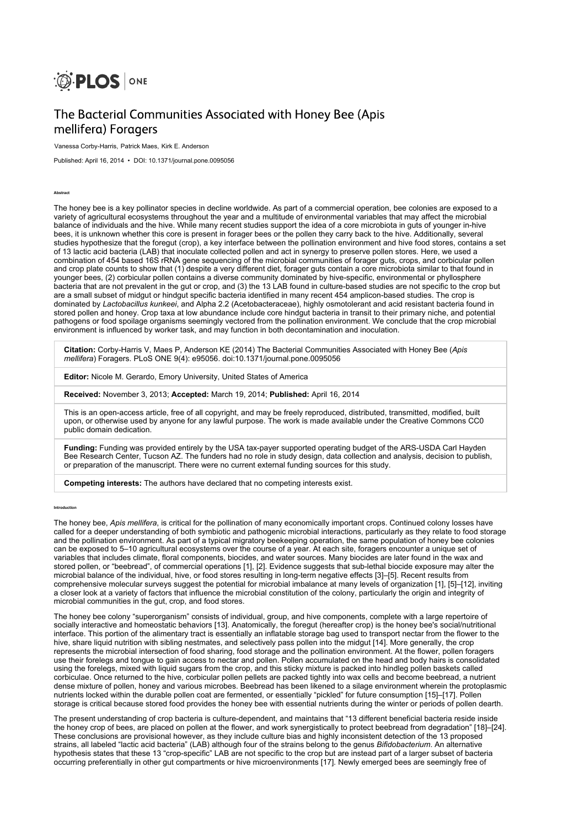

# The Bacterial Communities Associated with Honey Bee (Apis mellifera) Foragers

Vanessa Corby-Harris, Patrick Maes, Kirk E. Anderson

Published: April 16, 2014 • DOI: 10.1371/journal.pone.0095056

Abstract

The honey bee is a key pollinator species in decline worldwide. As part of a commercial operation, bee colonies are exposed to a variety of agricultural ecosystems throughout the year and a multitude of environmental variables that may affect the microbial balance of individuals and the hive. While many recent studies support the idea of a core microbiota in guts of younger in-hive bees, it is unknown whether this core is present in forager bees or the pollen they carry back to the hive. Additionally, several studies hypothesize that the foregut (crop), a key interface between the pollination environment and hive food stores, contains a set of 13 lactic acid bacteria (LAB) that inoculate collected pollen and act in synergy to preserve pollen stores. Here, we used a combination of 454 based 16S rRNA gene sequencing of the microbial communities of forager guts, crops, and corbicular pollen and crop plate counts to show that (1) despite a very different diet, forager guts contain a core microbiota similar to that found in younger bees, (2) corbicular pollen contains a diverse community dominated by hive-specific, environmental or phyllosphere bacteria that are not prevalent in the gut or crop, and (3) the 13 LAB found in culture-based studies are not specific to the crop but are a small subset of midgut or hindgut specific bacteria identified in many recent 454 amplicon-based studies. The crop is dominated by Lactobacillus kunkeei, and Alpha 2.2 (Acetobacteraceae), highly osmotolerant and acid resistant bacteria found in stored pollen and honey. Crop taxa at low abundance include core hindgut bacteria in transit to their primary niche, and potential pathogens or food spoilage organisms seemingly vectored from the pollination environment. We conclude that the crop microbial environment is influenced by worker task, and may function in both decontamination and inoculation.

Citation: Corby-Harris V, Maes P, Anderson KE (2014) The Bacterial Communities Associated with Honey Bee (Apis mellifera) Foragers. PLoS ONE 9(4): e95056. doi:10.1371/journal.pone.0095056

Editor: Nicole M. Gerardo, Emory University, United States of America

Received: November 3, 2013; Accepted: March 19, 2014; Published: April 16, 2014

This is an open-access article, free of all copyright, and may be freely reproduced, distributed, transmitted, modified, built upon, or otherwise used by anyone for any lawful purpose. The work is made available under the Creative Commons CC0 public domain dedication.

Funding: Funding was provided entirely by the USA tax-payer supported operating budget of the ARS-USDA Carl Hayden Bee Research Center, Tucson AZ. The funders had no role in study design, data collection and analysis, decision to publish, or preparation of the manuscript. There were no current external funding sources for this study.

Competing interests: The authors have declared that no competing interests exist.

#### Introduction

The honey bee, Apis mellifera, is critical for the pollination of many economically important crops. Continued colony losses have called for a deeper understanding of both symbiotic and pathogenic microbial interactions, particularly as they relate to food storage and the pollination environment. As part of a typical migratory beekeeping operation, the same population of honey bee colonies can be exposed to 5–10 agricultural ecosystems over the course of a year. At each site, foragers encounter a unique set of variables that includes climate, floral components, biocides, and water sources. Many biocides are later found in the wax and stored pollen, or "beebread", of commercial operations [1], [2]. Evidence suggests that sub-lethal biocide exposure may alter the microbial balance of the individual, hive, or food stores resulting in long-term negative effects [3]–[5]. Recent results from comprehensive molecular surveys suggest the potential for microbial imbalance at many levels of organization [1], [5]–[12], inviting a closer look at a variety of factors that influence the microbial constitution of the colony, particularly the origin and integrity of microbial communities in the gut, crop, and food stores.

The honey bee colony "superorganism" consists of individual, group, and hive components, complete with a large repertoire of socially interactive and homeostatic behaviors [13]. Anatomically, the foregut (hereafter crop) is the honey bee's social/nutritional interface. This portion of the alimentary tract is essentially an inflatable storage bag used to transport nectar from the flower to the hive, share liquid nutrition with sibling nestmates, and selectively pass pollen into the midgut [14]. More generally, the crop represents the microbial intersection of food sharing, food storage and the pollination environment. At the flower, pollen foragers use their forelegs and tongue to gain access to nectar and pollen. Pollen accumulated on the head and body hairs is consolidated using the forelegs, mixed with liquid sugars from the crop, and this sticky mixture is packed into hindleg pollen baskets called corbiculae. Once returned to the hive, corbicular pollen pellets are packed tightly into wax cells and become beebread, a nutrient dense mixture of pollen, honey and various microbes. Beebread has been likened to a silage environment wherein the protoplasmic nutrients locked within the durable pollen coat are fermented, or essentially "pickled" for future consumption [15]–[17]. Pollen storage is critical because stored food provides the honey bee with essential nutrients during the winter or periods of pollen dearth.

The present understanding of crop bacteria is culture-dependent, and maintains that "13 different beneficial bacteria reside inside the honey crop of bees, are placed on pollen at the flower, and work synergistically to protect beebread from degradation" [18]–[24]. These conclusions are provisional however, as they include culture bias and highly inconsistent detection of the 13 proposed strains, all labeled "lactic acid bacteria" (LAB) although four of the strains belong to the genus Bifidobacterium. An alternative hypothesis states that these 13 "crop-specific" LAB are not specific to the crop but are instead part of a larger subset of bacteria occurring preferentially in other gut compartments or hive microenvironments [17]. Newly emerged bees are seemingly free of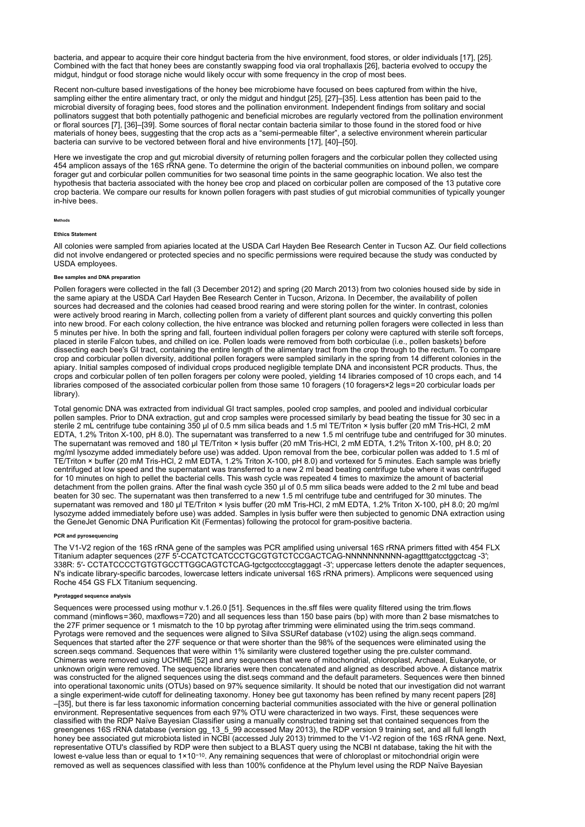bacteria, and appear to acquire their core hindgut bacteria from the hive environment, food stores, or older individuals [17], [25]. Combined with the fact that honey bees are constantly swapping food via oral trophallaxis [26], bacteria evolved to occupy the midgut, hindgut or food storage niche would likely occur with some frequency in the crop of most bees.

Recent non-culture based investigations of the honey bee microbiome have focused on bees captured from within the hive, sampling either the entire alimentary tract, or only the midgut and hindgut [25], [27]–[35]. Less attention has been paid to the microbial diversity of foraging bees, food stores and the pollination environment. Independent findings from solitary and social pollinators suggest that both potentially pathogenic and beneficial microbes are regularly vectored from the pollination environment or floral sources [7], [36]–[39]. Some sources of floral nectar contain bacteria similar to those found in the stored food or hive materials of honey bees, suggesting that the crop acts as a "semi-permeable filter", a selective environment wherein particular bacteria can survive to be vectored between floral and hive environments [17], [40]–[50].

Here we investigate the crop and gut microbial diversity of returning pollen foragers and the corbicular pollen they collected using 454 amplicon assays of the 16S rRNA gene. To determine the origin of the bacterial communities on inbound pollen, we compare forager gut and corbicular pollen communities for two seasonal time points in the same geographic location. We also test the hypothesis that bacteria associated with the honey bee crop and placed on corbicular pollen are composed of the 13 putative core crop bacteria. We compare our results for known pollen foragers with past studies of gut microbial communities of typically younger in-hive bees.

#### Methods

### Ethics Statement

All colonies were sampled from apiaries located at the USDA Carl Hayden Bee Research Center in Tucson AZ. Our field collections did not involve endangered or protected species and no specific permissions were required because the study was conducted by USDA employees.

### Bee samples and DNA preparation

Pollen foragers were collected in the fall (3 December 2012) and spring (20 March 2013) from two colonies housed side by side in the same apiary at the USDA Carl Hayden Bee Research Center in Tucson, Arizona. In December, the availability of pollen sources had decreased and the colonies had ceased brood rearing and were storing pollen for the winter. In contrast, colonies were actively brood rearing in March, collecting pollen from a variety of different plant sources and quickly converting this pollen into new brood. For each colony collection, the hive entrance was blocked and returning pollen foragers were collected in less than 5 minutes per hive. In both the spring and fall, fourteen individual pollen foragers per colony were captured with sterile soft forceps, placed in sterile Falcon tubes, and chilled on ice. Pollen loads were removed from both corbiculae (i.e., pollen baskets) before dissecting each bee's GI tract, containing the entire length of the alimentary tract from the crop through to the rectum. To compare crop and corbicular pollen diversity, additional pollen foragers were sampled similarly in the spring from 14 different colonies in the apiary. Initial samples composed of individual crops produced negligible template DNA and inconsistent PCR products. Thus, the crops and corbicular pollen of ten pollen foragers per colony were pooled, yielding 14 libraries composed of 10 crops each, and 14 libraries composed of the associated corbicular pollen from those same 10 foragers (10 foragers×2 legs=20 corbicular loads per library).

Total genomic DNA was extracted from individual GI tract samples, pooled crop samples, and pooled and individual corbicular pollen samples. Prior to DNA extraction, gut and crop samples were processed similarly by bead beating the tissue for 30 sec in a sterile 2 mL centrifuge tube containing 350 µl of 0.5 mm silica beads and 1.5 ml TE/Triton × lysis buffer (20 mM Tris-HCl, 2 mM EDTA, 1.2% Triton X-100, pH 8.0). The supernatant was transferred to a new 1.5 ml centrifuge tube and centrifuged for 30 minutes. The supernatant was removed and 180 µl TE/Triton × lysis buffer (20 mM Tris-HCl, 2 mM EDTA, 1.2% Triton X-100, pH 8.0; 20 mg/ml lysozyme added immediately before use) was added. Upon removal from the bee, corbicular pollen was added to 1.5 ml of TE/Triton × buffer (20 mM Tris-HCl, 2 mM EDTA, 1.2% Triton X-100, pH 8.0) and vortexed for 5 minutes. Each sample was briefly centrifuged at low speed and the supernatant was transferred to a new 2 ml bead beating centrifuge tube where it was centrifuged for 10 minutes on high to pellet the bacterial cells. This wash cycle was repeated 4 times to maximize the amount of bacterial detachment from the pollen grains. After the final wash cycle 350 µl of 0.5 mm silica beads were added to the 2 ml tube and bead beaten for 30 sec. The supernatant was then transferred to a new 1.5 ml centrifuge tube and centrifuged for 30 minutes. The supernatant was removed and 180 µl TE/Triton × lysis buffer (20 mM Tris-HCl, 2 mM EDTA, 1.2% Triton X-100, pH 8.0; 20 mg/ml lysozyme added immediately before use) was added. Samples in lysis buffer were then subjected to genomic DNA extraction using the GeneJet Genomic DNA Purification Kit (Fermentas) following the protocol for gram-positive bacteria.

#### PCR and pyrosequencing

The V1-V2 region of the 16S rRNA gene of the samples was PCR amplified using universal 16S rRNA primers fitted with 454 FLX Titanium adapter sequences (27F 5′-CCATCTCATCCCTGCGTGTCTCCGACTCAG-NNNNNNNNNN-agagtttgatcctggctcag -3′; 338R: 5′- CCTATCCCCTGTGTGCCTTGGCAGTCTCAG-tgctgcctcccgtaggagt -3′; uppercase letters denote the adapter sequences, N's indicate library-specific barcodes, lowercase letters indicate universal 16S rRNA primers). Amplicons were sequenced using Roche 454 GS FLX Titanium sequencing.

#### Pyrotagged sequence analysis

Sequences were processed using mothur v.1.26.0 [51]. Sequences in the.sff files were quality filtered using the trim.flows command (minflows = 360, maxflows = 720) and all sequences less than 150 base pairs (bp) with more than 2 base mismatches to the 27F primer sequence or 1 mismatch to the 10 bp pyrotag after trimming were eliminated using the trim.seqs command. Pyrotags were removed and the sequences were aligned to Silva SSURef database (v102) using the align.seqs command. Sequences that started after the 27F sequence or that were shorter than the 98% of the sequences were eliminated using the screen.seqs command. Sequences that were within 1% similarity were clustered together using the pre.culster command. Chimeras were removed using UCHIME [52] and any sequences that were of mitochondrial, chloroplast, Archaeal, Eukaryote, or unknown origin were removed. The sequence libraries were then concatenated and aligned as described above. A distance matrix was constructed for the aligned sequences using the dist.seqs command and the default parameters. Sequences were then binned into operational taxonomic units (OTUs) based on 97% sequence similarity. It should be noted that our investigation did not warrant a single experiment-wide cutoff for delineating taxonomy. Honey bee gut taxonomy has been refined by many recent papers [28] –[35], but there is far less taxonomic information concerning bacterial communities associated with the hive or general pollination environment. Representative sequences from each 97% OTU were characterized in two ways. First, these sequences were classified with the RDP Naïve Bayesian Classifier using a manually constructed training set that contained sequences from the greengenes 16S rRNA database (version gg\_13\_5\_99 accessed May 2013), the RDP version 9 training set, and all full length honey bee associated gut microbiota listed in NCBI (accessed July 2013) trimmed to the V1-V2 region of the 16S rRNA gene. Next, representative OTU's classified by RDP were then subject to a BLAST query using the NCBI nt database, taking the hit with the lowest e-value less than or equal to 1×10<sup>-10</sup>. Any remaining sequences that were of chloroplast or mitochondrial origin were removed as well as sequences classified with less than 100% confidence at the Phylum level using the RDP Naïve Bayesian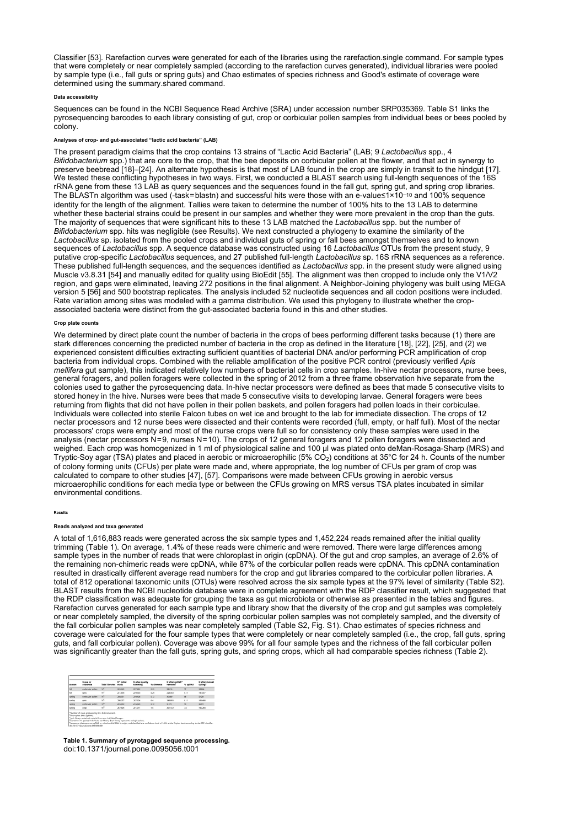Classifier [53]. Rarefaction curves were generated for each of the libraries using the rarefaction.single command. For sample types that were completely or near completely sampled (according to the rarefaction curves generated), individual libraries were pooled by sample type (i.e., fall guts or spring guts) and Chao estimates of species richness and Good's estimate of coverage were determined using the summary.shared command.

### Data accessibility

Sequences can be found in the NCBI Sequence Read Archive (SRA) under accession number SRP035369. Table S1 links the pyrosequencing barcodes to each library consisting of gut, crop or corbicular pollen samples from individual bees or bees pooled by colony.

### Analyses of crop- and gut-associated "lactic acid bacteria" (LAB)

The present paradigm claims that the crop contains 13 strains of "Lactic Acid Bacteria" (LAB; 9 Lactobacillus spp., 4 Bifidobacterium spp.) that are core to the crop, that the bee deposits on corbicular pollen at the flower, and that act in synergy to preserve beebread [18]–[24]. An alternate hypothesis is that most of LAB found in the cr We tested these conflicting hypotheses in two ways. First, we conducted a BLAST search using full-length sequences of the 16S rRNA gene from these 13 LAB as query sequences and the sequences found in the fall gut, spring gut, and spring crop libraries. The BLASTn algorithm was used (-task=blastn) and successful hits were those with an e-value≤1×10<sup>–10</sup> and 100% sequence identity for the length of the alignment. Tallies were taken to determine the number of 100% hits to the 13 LAB to determine whether these bacterial strains could be present in our samples and whether they were more prevalent in the crop than the guts. The majority of sequences that were significant hits to these 13 LAB matched the Lactobacillus spp. but the number of Bifidobacterium spp. hits was negligible (see Results). We next constructed a phylogeny to examine the similarity of the Lactobacillus sp. isolated from the pooled crops and individual guts of spring or fall bees amongst themselves and to known sequences of Lactobacillus spp. A sequence database was constructed using 16 Lactobacillus OTUs from the present study, 9 putative crop-specific Lactobacillus sequences, and 27 published full-length Lactobacillus sp. 16S rRNA sequences as a reference. These published full-length sequences, and the sequences identified as *Lactobacillus* spp. in the present study were aligned using Muscle v3.8.31 [54] and manually edited for quality using BioEdit [55]. The alignment was then cropped to include only the V1/V2 region, and gaps were eliminated, leaving 272 positions in the final alignment. A Neighbor-Joining phylogeny was built using MEGA version 5 [56] and 500 bootstrap replicates. The analysis included 52 nucleotide sequences and all codon positions were included. Rate variation among sites was modeled with a gamma distribution. We used this phylogeny to illustrate whether the cropassociated bacteria were distinct from the gut-associated bacteria found in this and other studies.

#### Crop plate counts

We determined by direct plate count the number of bacteria in the crops of bees performing different tasks because (1) there are stark differences concerning the predicted number of bacteria in the crop as defined in the literature [18], [22], [25], and (2) we experienced consistent difficulties extracting sufficient quantities of bacterial DNA and/or performing PCR amplification of crop bacteria from individual crops. Combined with the reliable amplification of the positive PCR control (previously verified Apis mellifera gut sample), this indicated relatively low numbers of bacterial cells in crop samples. In-hive nectar processors, nurse bees, general foragers, and pollen foragers were collected in the spring of 2012 from a three frame observation hive separate from the colonies used to gather the pyrosequencing data. In-hive nectar processors were defined as bees that made 5 consecutive visits to stored honey in the hive. Nurses were bees that made 5 consecutive visits to developing larvae. General foragers were bees returning from flights that did not have pollen in their pollen baskets, and pollen foragers had pollen loads in their corbiculae. Individuals were collected into sterile Falcon tubes on wet ice and brought to the lab for immediate dissection. The crops of 12 nectar processors and 12 nurse bees were dissected and their contents were recorded (full, empty, or half full). Most of the nectar processors' crops were empty and most of the nurse crops were full so for consistency only these samples were used in the analysis (nectar processors N=9, nurses N=10). The crops of 12 general foragers and 12 pollen foragers were dissected and weighed. Each crop was homogenized in 1 ml of physiological saline and 100 µl was plated onto deMan-Rosaga-Sharp (MRS) and Tryptic-Soy agar (TSA) plates and placed in aerobic or microaerophilic (5% CO $_2$ ) conditions at 35°C for 24 h. Counts of the number of colony forming units (CFUs) per plate were made and, where appropriate, the log number of CFUs per gram of crop was calculated to compare to other studies [47], [57]. Comparisons were made between CFUs growing in aerobic versus microaerophilic conditions for each media type or between the CFUs growing on MRS versus TSA plates incubated in similar environmental conditions.

### Results

# Reads analyzed and taxa generated

A total of 1,616,883 reads were generated across the six sample types and 1,452,224 reads remained after the initial quality trimming (Table 1). On average, 1.4% of these reads were chimeric and were removed. There were large differences among sample types in the number of reads that were chloroplast in origin (cpDNA). Of the gut and crop samples, an average of 2.6% of the remaining non-chimeric reads were cpDNA, while 87% of the corbicular pollen reads were cpDNA. This cpDNA contamination resulted in drastically different average read numbers for the crop and gut libraries compared to the corbicular pollen libraries. A total of 812 operational taxonomic units (OTUs) were resolved across the six sample types at the 97% level of similarity (Table S2). BLAST results from the NCBI nucleotide database were in complete agreement with the RDP classifier result, which suggested that the RDP classification was adequate for grouping the taxa as gut microbiota or otherwise as presented in the tables and figures. Rarefaction curves generated for each sample type and library show that the diversity of the crop and gut samples was completely or near completely sampled, the diversity of the spring corbicular pollen samples was not completely sampled, and the diversity of the fall corbicular pollen samples was near completely sampled (Table S2, Fig. S1). Chao estimates of species richness and coverage were calculated for the four sample types that were completely or near completely sampled (i.e., the crop, fall guts, spring guts, and fall corbicular pollen). Coverage was above 99% for all four sample types and the richness of the fall corbicular pollen was significantly greater than the fall guts, spring guts, and spring crops, which all had comparable species richness (Table 2).

| ****   | <b>Name of</b><br>substrate | <b>Total libraries</b> | <b>M<sup>A</sup> Initial</b><br>reads | N after quality<br>trimmina | <b>By children and</b> | N what coDNA <sup>*</sup><br>removed | % GACINA       | N after manual<br>culling" |
|--------|-----------------------------|------------------------|---------------------------------------|-----------------------------|------------------------|--------------------------------------|----------------|----------------------------|
| ü      | corbicular pollen           | w                      | 205,365                               | 257,632                     | 0.23                   | 58,218                               | $\overline{z}$ | 33,284                     |
| tа     | <b>GUTS</b>                 | w                      | 251,856                               | 229,508                     | 0.24                   | 228,563                              | 0.17           | 191,017                    |
| spring | corbicular pollers          | $\overline{16}$        | 288,311                               | 219,828                     | 0.12                   | 30,680                               | $\mathbf{m}$   | 5,428                      |
| spring | guts                        | w                      | 206,257                               | 267,826                     | 64                     | 249,893                              | 011            | 143, 448                   |
| sering | contributer pollen.         | 1P.                    | 245,430                               | 216,636                     | 0.10                   | 9.175                                | w              | 4,879                      |
| spring | over                        | w                      | 347,634                               | 221,211                     | 1.5                    | 201,122                              | 73             | 195,264                    |

Table 1. Summary of pyrotagged sequence processing. doi:10.1371/journal.pone.0095056.t001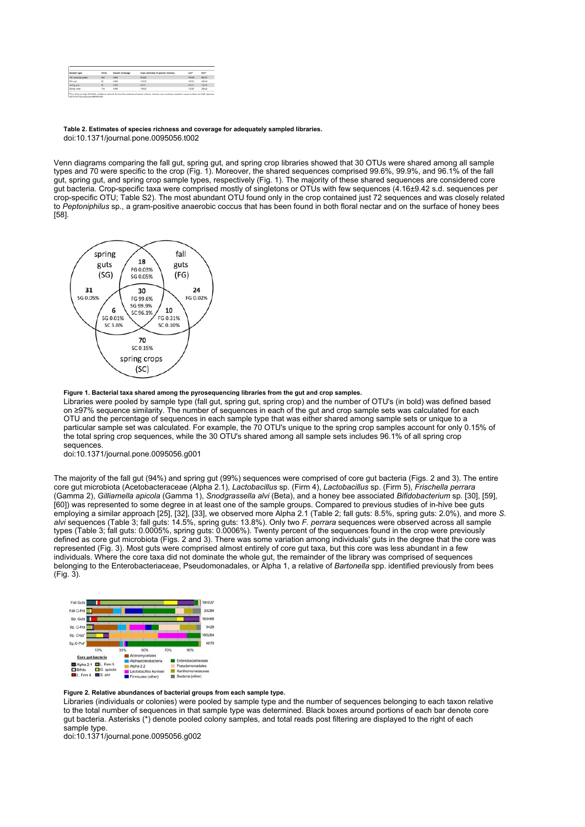| Sample type            | <b>OTVs</b> | Good's Coverage | Chao estimate of species richness | vo*    | HO <sup>+</sup> |
|------------------------|-------------|-----------------|-----------------------------------|--------|-----------------|
|                        |             |                 |                                   |        |                 |
| Fall corbicular pollen | 630         | 0.994           | 813.82                            | 753.99 | 902.52          |
| Fall guits             | 82          | 0.999           | 130.33                            | 100-91 | 305,49          |
| Spring guts            | as.         | 0.999           | 99.44                             | 90.15  | 125.46          |
| Spring crops           | 116         | 0-996           | 1/05/05                           | 135,87 | 209.26          |

Table 2. Estimates of species richness and coverage for adequately sampled libraries. doi:10.1371/journal.pone.0095056.t002

Venn diagrams comparing the fall gut, spring gut, and spring crop libraries showed that 30 OTUs were shared among all sample types and 70 were specific to the crop (Fig. 1). Moreover, the shared sequences comprised 99.6%, 99.9%, and 96.1% of the fall gut, spring gut, and spring crop sample types, respectively (Fig. 1). The majority of these shared sequences are considered core gut bacteria. Crop-specific taxa were comprised mostly of singletons or OTUs with few sequences (4.16±9.42 s.d. sequences per crop-specific OTU; Table S2). The most abundant OTU found only in the crop contained just 72 sequences and was closely related to Peptoniphilus sp., a gram-positive anaerobic coccus that has been found in both floral nectar and on the surface of honey bees [58].



### Figure 1. Bacterial taxa shared among the pyrosequencing libraries from the gut and crop samples.

Libraries were pooled by sample type (fall gut, spring gut, spring crop) and the number of OTU's (in bold) was defined based on ≥97% sequence similarity. The number of sequences in each of the gut and crop sample sets was calculated for each OTU and the percentage of sequences in each sample type that was either shared among sample sets or unique to a particular sample set was calculated. For example, the 70 OTU's unique to the spring crop samples account for only 0.15% of the total spring crop sequences, while the 30 OTU's shared among all sample sets includes 96.1% of all spring crop sequences.

doi:10.1371/journal.pone.0095056.g001

The majority of the fall gut (94%) and spring gut (99%) sequences were comprised of core gut bacteria (Figs. 2 and 3). The entire core gut microbiota (Acetobacteraceae (Alpha 2.1), Lactobacillus sp. (Firm 4), Lactobacillus sp. (Firm 5), Frischella perrara (Gamma 2), Gilliamella apicola (Gamma 1), Snodgrassella alvi (Beta), and a honey bee associated Bifidobacterium sp. [30], [59], [60]) was represented to some degree in at least one of the sample groups. Compared to previous studies of in-hive bee guts employing a similar approach [25], [32], [33], we observed more Alpha 2.1 (Table 2; fall guts: 8.5%, spring guts: 2.0%), and more S. alvi sequences (Table 3; fall guts: 14.5%, spring guts: 13.8%). Only two F. perrara sequences were observed across all sample types (Table 3; fall guts: 0.0005%, spring guts: 0.0006%). Twenty percent of the sequences found in the crop were previously defined as core gut microbiota (Figs. 2 and 3). There was some variation among individuals' guts in the degree that the core was represented (Fig. 3). Most guts were comprised almost entirely of core gut taxa, but this core was less abundant in a few individuals. Where the core taxa did not dominate the whole gut, the remainder of the library was comprised of sequences belonging to the Enterobacteriaceae, Pseudomonadales, or Alpha 1, a relative of Bartonella spp. identified previously from bees (Fig. 3).



### Figure 2. Relative abundances of bacterial groups from each sample type.

Libraries (individuals or colonies) were pooled by sample type and the number of sequences belonging to each taxon relative to the total number of sequences in that sample type was determined. Black boxes around portions of each bar denote core gut bacteria. Asterisks (\*) denote pooled colony samples, and total reads post filtering are displayed to the right of each sample type.

doi:10.1371/journal.pone.0095056.g002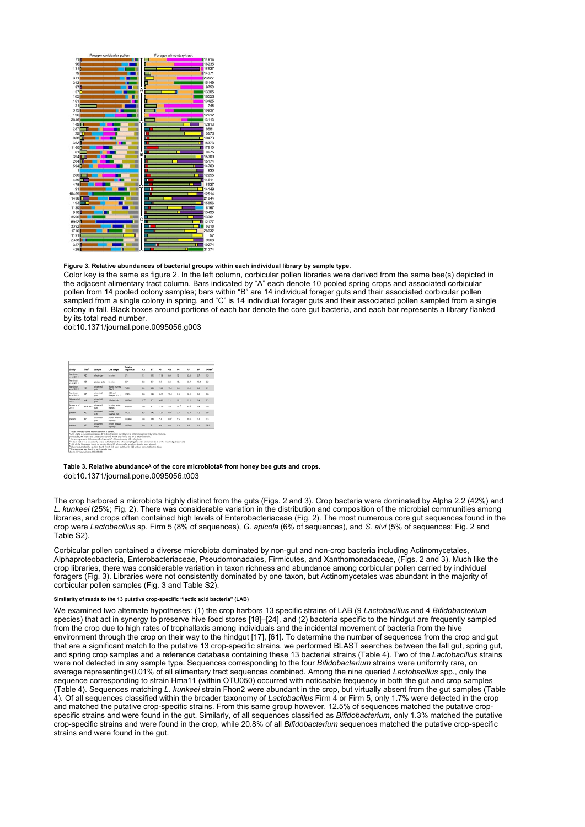

### Figure 3. Relative abundances of bacterial groups within each individual library by sample type.

Color key is the same as figure 2. In the left column, corbicular pollen libraries were derived from the same bee(s) depicted in the adjacent alimentary tract column. Bars indicated by "A" each denote 10 pooled spring crops and associated corbicular pollen from 14 pooled colony samples; bars within "B" are 14 individual forager guts and their associated corbicular pollen sampled from a single colony in spring, and "C" is 14 individual forager guts and their associated pollen sampled from a single colony in fall. Black boxes around portions of each bar denote the core gut bacteria, and each bar represents a library flanked by its total read number.

doi:10.1371/journal.pone.0095056.g003

| Study                       | Ske <sup>t</sup> | <b>Sample</b>                        | Life stage                                | <b>Total o</b><br>sequences | A2              | 8T   | ۵١   | G3              | 84      | 15   | u         | Other     |
|-----------------------------|------------------|--------------------------------------|-------------------------------------------|-----------------------------|-----------------|------|------|-----------------|---------|------|-----------|-----------|
| Martinson<br>et al. 2011    | KZ.              | ahole bee                            | in Nue                                    | 271                         | 3.3             | 11.1 | 11.8 | 60              | $^{10}$ | 63.8 | 43        | 1.5       |
| Martinson<br>et al. 2011    | ĸż               | posited puts                         | in hive                                   | 267                         | 40              | 12   | 57   | to.             | 10.5    | 65.7 | 13.1      | 22        |
| Martinson<br>et al. 2012    | ĸz               | <b><i>GUARDAS</i></b><br><b>outs</b> | <b><i>Bd old numers</i></b><br>$(54 - 3)$ | 76,595                      | 60              | 360  | 12.0 | 17.0            | 0.2     | 49.0 | <b>ta</b> | 6.1       |
| Martinson<br>et al. 2012    | ĸz               | disacted<br>puts.                    | 50d old<br><b>Society IV = 11</b>         | 17.610                      | 60              | 19.8 | 611  | 57.0            | 0.32    | 22.0 | 46        | <b>GO</b> |
| Sabres at al.<br>3012       | MA.              | <b><i>GUATAS</i></b><br>outs         | 12 days old                               | 506,544                     | 12 <sup>6</sup> | 67   | 49.1 | 1.5             | 11.1    | 21.6 | 5.4       | 5.2       |
| Moran et of.<br>3012        | AZ & MO          | бимсий<br>that's                     | in hive, outer<br><b>frames</b>           | 329,550                     | 1.0             | 61   | 11.9 | 20              | 29.2''  | u i  | 5.4       | 1.9       |
| <b><i><u>EVANNE</u></i></b> | $\overline{M}$   | disserted<br>guts.                   | system.<br>forager (fall)                 | 191,037                     | 8.5             | 14.5 | 12.1 | oo <sup>s</sup> | 25      | 55.4 | 1.2       | <b>SA</b> |
| present                     | KŽ.              | dissensed<br>guts.                   | pollen forager<br>laningi                 | 163,468                     | 28              | 13.8 | 5.8  | 60 <sup>5</sup> | 55      | 65.6 | 12        | 13        |
| <b>Entrance</b>             | ĸz               | dissense<br>O'DDI                    | pollen forager<br>berings                 | 195,264                     | 0D              | 5.1  | 6.4  | 60              | 0.3     | 8.6  | 0.1       | 79.5      |

### Table 3. Relative abundanceA of the core microbiota<sup>B</sup> from honey bee guts and crops. doi:10.1371/journal.pone.0095056.t003

The crop harbored a microbiota highly distinct from the guts (Figs. 2 and 3). Crop bacteria were dominated by Alpha 2.2 (42%) and L. kunkeei (25%; Fig. 2). There was considerable variation in the distribution and composition of the microbial communities among libraries, and crops often contained high levels of Enterobacteriaceae (Fig. 2). The most numerous core gut sequences found in the crop were Lactobacillus sp. Firm 5 (8% of sequences), G. apicola (6% of sequences), and S. alvi (5% of sequences; Fig. 2 and Table S2).

Corbicular pollen contained a diverse microbiota dominated by non-gut and non-crop bacteria including Actinomycetales, Alphaproteobacteria, Enterobacteriaceae, Pseudomonadales, Firmicutes, and Xanthomonadaceae, (Figs. 2 and 3). Much like the crop libraries, there was considerable variation in taxon richness and abundance among corbicular pollen carried by individual foragers (Fig. 3). Libraries were not consistently dominated by one taxon, but Actinomycetales was abundant in the majority of corbicular pollen samples (Fig. 3 and Table S2).

### Similarity of reads to the 13 putative crop-specific "lactic acid bacteria" (LAB)

We examined two alternate hypotheses: (1) the crop harbors 13 specific strains of LAB (9 Lactobacillus and 4 Bifidobacterium species) that act in synergy to preserve hive food stores [18]–[24], and (2) bacteria specific to the hindgut are frequently sampled from the crop due to high rates of trophallaxis among individuals and the incidental movement of bacteria from the hive environment through the crop on their way to the hindgut [17], [61]. To determine the number of sequences from the crop and gut that are a significant match to the putative 13 crop-specific strains, we performed BLAST searches between the fall gut, spring gut, and spring crop samples and a reference database containing these 13 bacterial strains (Table 4). Two of the *Lactobacillus* strains were not detected in any sample type. Sequences corresponding to the four Bifidobacterium strains were uniformly rare, on average representing<0.01% of all alimentary tract sequences combined. Among the nine queried Lactobacillus spp., only the sequence corresponding to strain Hma11 (within OTU050) occurred with noticeable frequency in both the gut and crop samples (Table 4). Sequences matching L. kunkeei strain Fhon2 were abundant in the crop, but virtually absent from the gut samples (Table 4). Of all sequences classified within the broader taxonomy of Lactobacillus Firm 4 or Firm 5, only 1.7% were detected in the crop and matched the putative crop-specific strains. From this same group however, 12.5% of sequences matched the putative cropspecific strains and were found in the gut. Similarly, of all sequences classified as Bifidobacterium, only 1.3% matched the putative crop-specific strains and were found in the crop, while 20.8% of all Bifidobacterium sequences matched the putative crop-specific strains and were found in the gut.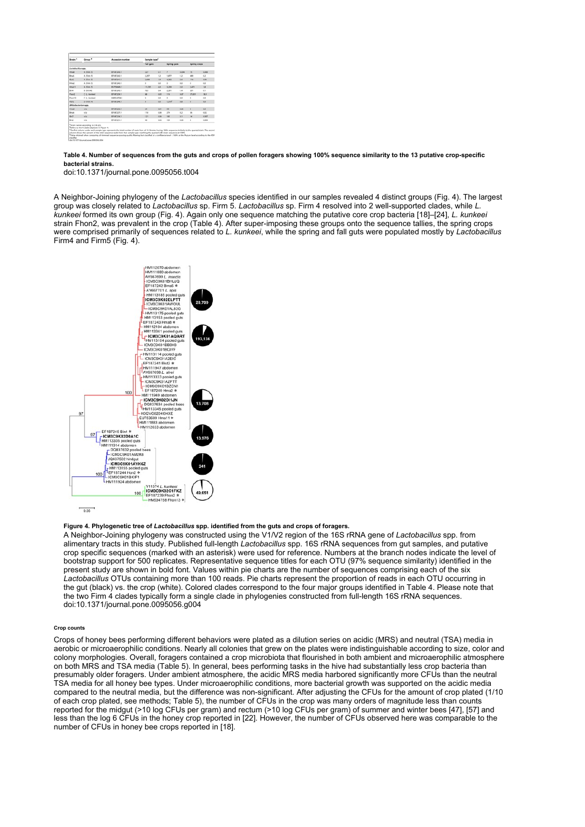| Strain <sup>4</sup>      | Group <sup>*</sup> | Accession number        | Sample type <sup>c</sup> |       |                |       |                     |       |
|--------------------------|--------------------|-------------------------|--------------------------|-------|----------------|-------|---------------------|-------|
|                          |                    |                         | Fall quits               |       | Spring guts    |       | <b>Spring crops</b> |       |
| Lactobacillus spp.       |                    |                         |                          |       |                |       |                     |       |
| Henatt                   | A (Fam. 1)         | <b>BF187243.1</b>       | 227                      | $-11$ | $\overline{z}$ | 0.006 | 15                  | 0.508 |
| through.                 | A (Fam 1)          | <b>BF187243.1</b>       | 2,297                    | 12    | 1,877          | 1.3   | 489                 | 0.2   |
| But2                     | A (Firm 1)         | <b>BF187241.1</b>       | 3,488                    | 1.6   | 4.383          | 2.6   | 114                 | 0.56  |
| <b>Hma2</b>              | A (Fam S)          | <b>RE1872401</b>        | ō                        | 44    | ÷.             | 0.5   | ÷                   | 0.5   |
| HmallT                   | A (Farm S)         | <b>BUTSMALL</b>         | 11,535                   | 6.0   | 3,259          | 2.8   | 3,471               | 1.8   |
| <b>Bird</b>              | 8 (FirmA)          | <b>RESIZINES</b>        | 703                      | 44    | 2,301          | 1.4   | 201                 | di 1  |
| Fhom2                    | C-E, Aunkeels      | <b>BETAXYONG 1</b>      | 88                       | 446   | 118            | 0.87  | 37,001              | 18.9  |
| Flyge 19                 | C E. Auckeels      | HNS34758.1              | ó                        | 46    | ٠              | 0.8   | ٠                   | 0.8   |
| Hon2                     | D. Hirry At.       | <b>RESEPTINA S</b>      | o.                       | 66    | <b>LENGT</b>   | 0.8   |                     | 0.8   |
| <b>ARANDATATION ARD.</b> |                    |                         |                          |       |                |       |                     |       |
| <b>Hamal</b>             | m/a                | <b><i>BEARTONAX</i></b> | 34                       | 6.61  | 55             | 0.01  | ٠                   | 0.8   |
| Broad-                   | m/a                | <b><i>BEARTONYA</i></b> | 118                      | 6.06  | 234            | 0.2   | 36                  | 6.82  |
| <b>Birth</b>             | m/a                | BF187234.1              | 12%                      | 0.06  | 385            | 0.1   | 54                  | oper  |
| Birk                     | m/n                | 07107221.1              | 40                       | 6.02  | 104            | 0.06  | ٠                   | 0.004 |

### Table 4. Number of sequences from the guts and crops of pollen foragers showing 100% sequence similarity to the 13 putative crop-specific bacterial strains.

doi:10.1371/journal.pone.0095056.t004

A Neighbor-Joining phylogeny of the Lactobacillus species identified in our samples revealed 4 distinct groups (Fig. 4). The largest group was closely related to Lactobacillus sp. Firm 5. Lactobacillus sp. Firm 4 resolved into 2 well-supported clades, while L. kunkeei formed its own group (Fig. 4). Again only one sequence matching the putative core crop bacteria [18]–[24], L. kunkeei strain Fhon2, was prevalent in the crop (Table 4). After super-imposing these groups onto the sequence tallies, the spring crops were comprised primarily of sequences related to L. kunkeei, while the spring and fall guts were populated mostly by Lactobacillus Firm4 and Firm5 (Fig. 4).



# Figure 4. Phylogenetic tree of Lactobacillus spp. identified from the guts and crops of foragers.

A Neighbor-Joining phylogeny was constructed using the V1/V2 region of the 16S rRNA gene of Lactobacillus spp. from alimentary tracts in this study. Published full-length Lactobacillus spp. 16S rRNA sequences from gut samples, and putative crop specific sequences (marked with an asterisk) were used for reference. Numbers at the branch nodes indicate the level of bootstrap support for 500 replicates. Representative sequence titles for each OTU (97% sequence similarity) identified in the present study are shown in bold font. Values within pie charts are the number of sequences comprising each of the six .<br>Lactobacillus OTUs containing more than 100 reads. Pie charts represent the proportion of reads in each OTU occurring in the gut (black) vs. the crop (white). Colored clades correspond to the four major groups identified in Table 4. Please note that the two Firm 4 clades typically form a single clade in phylogenies constructed from full-length 16S rRNA sequences. doi:10.1371/journal.pone.0095056.g004

#### Crop counts

Crops of honey bees performing different behaviors were plated as a dilution series on acidic (MRS) and neutral (TSA) media in aerobic or microaerophilic conditions. Nearly all colonies that grew on the plates were indistinguishable according to size, color and colony morphologies. Overall, foragers contained a crop microbiota that flourished in both ambient and microaerophilic atmosphere on both MRS and TSA media (Table 5). In general, bees performing tasks in the hive had substantially less crop bacteria than presumably older foragers. Under ambient atmosphere, the acidic MRS media harbored significantly more CFUs than the neutral TSA media for all honey bee types. Under microaerophilic conditions, more bacterial growth was supported on the acidic media compared to the neutral media, but the difference was non-significant. After adjusting the CFUs for the amount of crop plated (1/10 of each crop plated, see methods; Table 5), the number of CFUs in the crop was many orders of magnitude less than counts reported for the midgut (>10 log CFUs per gram) and rectum (>10 log CFUs per gram) of summer and winter bees [47], [57] and less than the log 6 CFUs in the honey crop reported in [22]. However, the number of CFUs observed here was comparable to the number of CFUs in honey bee crops reported in [18].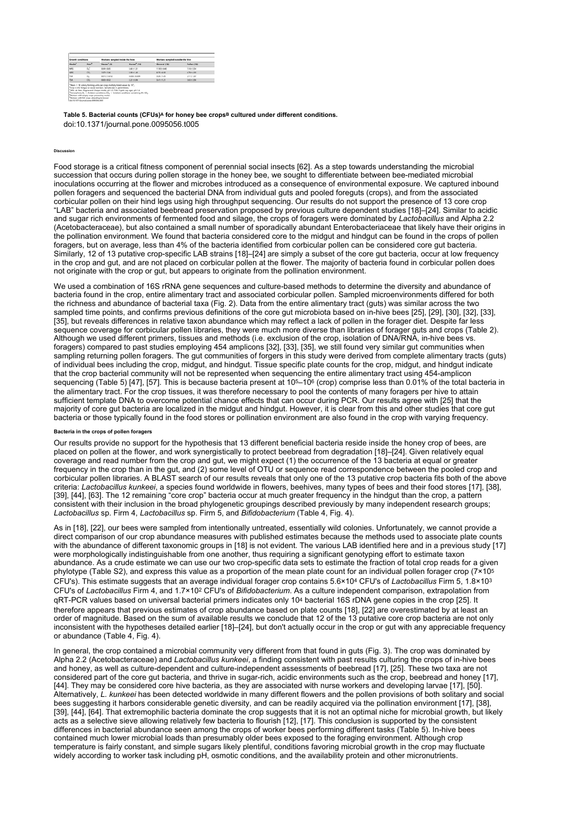| Growth conditions: |                  | Workers sampled inside the hive |                          | Workers sampled outside the hive |                    |  |  |
|--------------------|------------------|---------------------------------|--------------------------|----------------------------------|--------------------|--|--|
| Media <sup>1</sup> | Ann <sup>o</sup> | Nectar <sup>8</sup> (9)         | Nursey <sup>"</sup> (10) | General (12)                     | <b>Pollen (12)</b> |  |  |
| MRS                | 0.5              | 0.6910.85                       | 140+131                  | 119316-00                        | 7.18+5.54          |  |  |
| <b>MRS</b>         | CD.              | 1,9741.06                       | 3:00 + 1.40              | 8,75+4.90                        | 6,7814.39          |  |  |
| TSA                | O <sub>1</sub>   | 0.013+0.012                     | 0.034 + 0.006            | 3.36 + 1.45                      | $2.11 + 1.17$      |  |  |
| TSA                | CO <sub>1</sub>  | $0.83 - 0.52$                   | 2.21 = 0.96              | $3.41 - 1.21$                    | 5.63 = 3.56        |  |  |

Table 5. Bacterial counts (CFUs)^ for honey bee crops<sup>в</sup> cultured under different conditions. doi:10.1371/journal.pone.0095056.t005

#### Discussion

Food storage is a critical fitness component of perennial social insects [62]. As a step towards understanding the microbial succession that occurs during pollen storage in the honey bee, we sought to differentiate between bee-mediated microbial inoculations occurring at the flower and microbes introduced as a consequence of environmental exposure. We captured inbound pollen foragers and sequenced the bacterial DNA from individual guts and pooled foreguts (crops), and from the associated corbicular pollen on their hind legs using high throughput sequencing. Our results do not support the presence of 13 core crop "LAB" bacteria and associated beebread preservation proposed by previous culture dependent studies [18]–[24]. Similar to acidic and sugar rich environments of fermented food and silage, the crops of foragers were dominated by Lactobacillus and Alpha 2.2 (Acetobacteraceae), but also contained a small number of sporadically abundant Enterobacteriaceae that likely have their origins in the pollination environment. We found that bacteria considered core to the midgut and hindgut can be found in the crops of pollen foragers, but on average, less than 4% of the bacteria identified from corbicular pollen can be considered core gut bacteria. Similarly, 12 of 13 putative crop-specific LAB strains [18]–[24] are simply a subset of the core gut bacteria, occur at low frequency in the crop and gut, and are not placed on corbicular pollen at the flower. The majority of bacteria found in corbicular pollen does not originate with the crop or gut, but appears to originate from the pollination environment.

We used a combination of 16S rRNA gene sequences and culture-based methods to determine the diversity and abundance of bacteria found in the crop, entire alimentary tract and associated corbicular pollen. Sampled microenvironments differed for both the richness and abundance of bacterial taxa (Fig. 2). Data from the entire alimentary tract (guts) was similar across the two sampled time points, and confirms previous definitions of the core gut microbiota based on in-hive bees [25], [29], [30], [32], [33], [35], but reveals differences in relative taxon abundance which may reflect a lack of pollen in the forager diet. Despite far less sequence coverage for corbicular pollen libraries, they were much more diverse than libraries of forager guts and crops (Table 2). Although we used different primers, tissues and methods (i.e. exclusion of the crop, isolation of DNA/RNA, in-hive bees vs. foragers) compared to past studies employing 454 amplicons [32], [33], [35], we still found very similar gut communities when sampling returning pollen foragers. The gut communities of forgers in this study were derived from complete alimentary tracts (guts) of individual bees including the crop, midgut, and hindgut. Tissue specific plate counts for the crop, midgut, and hindgut indicate that the crop bacterial community will not be represented when sequencing the entire alimentary tract using 454-amplicon sequencing (Table 5) [47], [57]. This is because bacteria present at 105–106 (crop) comprise less than 0.01% of the total bacteria in the alimentary tract. For the crop tissues, it was therefore necessary to pool the contents of many foragers per hive to attain sufficient template DNA to overcome potential chance effects that can occur during PCR. Our results agree with [25] that the majority of core gut bacteria are localized in the midgut and hindgut. However, it is clear from this and other studies that core gut bacteria or those typically found in the food stores or pollination environment are also found in the crop with varying frequency.

## Bacteria in the crops of pollen foragers

Our results provide no support for the hypothesis that 13 different beneficial bacteria reside inside the honey crop of bees, are placed on pollen at the flower, and work synergistically to protect beebread from degradation [18]–[24]. Given relatively equal coverage and read number from the crop and gut, we might expect (1) the occurrence of the 13 bacteria at equal or greater frequency in the crop than in the gut, and (2) some level of OTU or sequence read correspondence between the pooled crop and corbicular pollen libraries. A BLAST search of our results reveals that only one of the 13 putative crop bacteria fits both of the above criteria: Lactobacillus kunkeei, a species found worldwide in flowers, beehives, many types of bees and their food stores [17], [38], [39], [44], [63]. The 12 remaining "core crop" bacteria occur at much greater frequency in the hindgut than the crop, a pattern consistent with their inclusion in the broad phylogenetic groupings described previously by many independent research groups; Lactobacillus sp. Firm 4, Lactobacillus sp. Firm 5, and Bifidobacterium (Table 4, Fig. 4).

As in [18], [22], our bees were sampled from intentionally untreated, essentially wild colonies. Unfortunately, we cannot provide a direct comparison of our crop abundance measures with published estimates because the methods used to associate plate counts with the abundance of different taxonomic groups in [18] is not evident. The various LAB identified here and in a previous study [17] were morphologically indistinguishable from one another, thus requiring a significant genotyping effort to estimate taxon abundance. As a crude estimate we can use our two crop-specific data sets to estimate the fraction of total crop reads for a given phylotype (Table S2), and express this value as a proportion of the mean plate count for an individual pollen forager crop (7×10 5 CFU's). This estimate suggests that an average individual forager crop contains 5.6×104 CFU's of *Lactobacillus* Firm 5, 1.8×103 CFU's of *Lactobacillus* Firm 4, and 1.7×10º CFU's of *Bifidobacterium*. As a culture independent comparison, extrapolation from qRT-PCR values based on universal bacterial primers indicates only 104 bacterial 16S rDNA gene copies in the crop [25]. It therefore appears that previous estimates of crop abundance based on plate counts [18], [22] are overestimated by at least an order of magnitude. Based on the sum of available results we conclude that 12 of the 13 putative core crop bacteria are not only inconsistent with the hypotheses detailed earlier [18]–[24], but don't actually occur in the crop or gut with any appreciable frequency or abundance (Table 4, Fig. 4).

In general, the crop contained a microbial community very different from that found in guts (Fig. 3). The crop was dominated by Alpha 2.2 (Acetobacteraceae) and Lactobacillus kunkeei, a finding consistent with past results culturing the crops of in-hive bees and honey, as well as culture-dependent and culture-independent assessments of beebread [17], [25]. These two taxa are not considered part of the core gut bacteria, and thrive in sugar-rich, acidic environments such as the crop, beebread and honey [17], [44]. They may be considered core hive bacteria, as they are associated with nurse workers and developing larvae [17], [50]. Alternatively, L. kunkeei has been detected worldwide in many different flowers and the pollen provisions of both solitary and social bees suggesting it harbors considerable genetic diversity, and can be readily acquired via the pollination environment [17], [38], [39], [44], [64]. That extremophilic bacteria dominate the crop suggests that it is not an optimal niche for microbial growth, but likely acts as a selective sieve allowing relatively few bacteria to flourish [12], [17]. This conclusion is supported by the consistent differences in bacterial abundance seen among the crops of worker bees performing different tasks (Table 5). In-hive bees contained much lower microbial loads than presumably older bees exposed to the foraging environment. Although crop temperature is fairly constant, and simple sugars likely plentiful, conditions favoring microbial growth in the crop may fluctuate widely according to worker task including pH, osmotic conditions, and the availability protein and other micronutrients.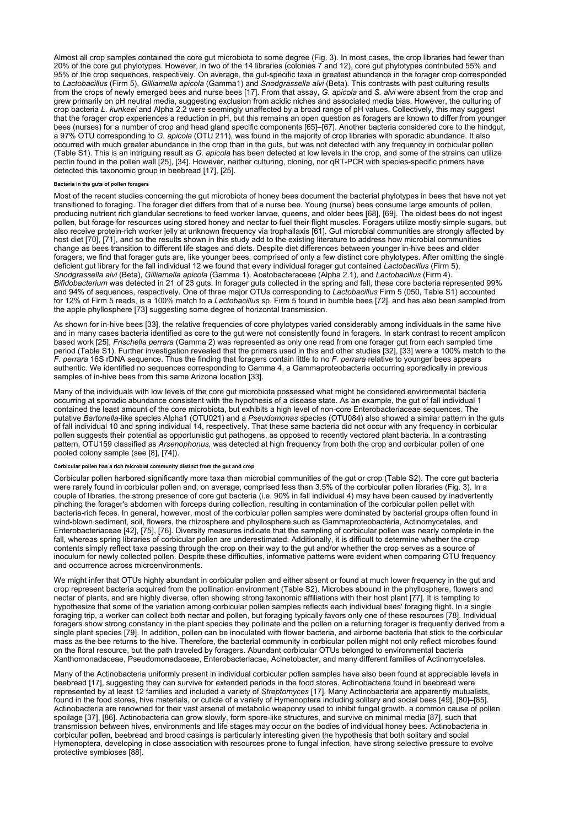Almost all crop samples contained the core gut microbiota to some degree (Fig. 3). In most cases, the crop libraries had fewer than 20% of the core gut phylotypes. However, in two of the 14 libraries (colonies 7 and 12), core gut phylotypes contributed 55% and 95% of the crop sequences, respectively. On average, the gut-specific taxa in greatest abundance in the forager crop corresponded to Lactobacillus (Firm 5), Gilliamella apicola (Gamma1) and Snodgrassella alvi (Beta). This contrasts with past culturing results from the crops of newly emerged bees and nurse bees [17]. From that assay, G. apicola and S. alvi were absent from the crop and grew primarily on pH neutral media, suggesting exclusion from acidic niches and associated media bias. However, the culturing of crop bacteria L. kunkeei and Alpha 2.2 were seemingly unaffected by a broad range of pH values. Collectively, this may suggest that the forager crop experiences a reduction in pH, but this remains an open question as foragers are known to differ from younger bees (nurses) for a number of crop and head gland specific components [65]–[67]. Another bacteria considered core to the hindgut, a 97% OTU corresponding to G. apicola (OTU 211), was found in the majority of crop libraries with sporadic abundance. It also occurred with much greater abundance in the crop than in the guts, but was not detected with any frequency in corbicular pollen (Table S1). This is an intriguing result as G. apicola has been detected at low levels in the crop, and some of the strains can utilize pectin found in the pollen wall [25], [34]. However, neither culturing, cloning, nor qRT-PCR with species-specific primers have detected this taxonomic group in beebread [17], [25].

### Bacteria in the guts of pollen foragers

Most of the recent studies concerning the gut microbiota of honey bees document the bacterial phylotypes in bees that have not yet transitioned to foraging. The forager diet differs from that of a nurse bee. Young (nurse) bees consume large amounts of pollen, producing nutrient rich glandular secretions to feed worker larvae, queens, and older bees [68], [69]. The oldest bees do not ingest pollen, but forage for resources using stored honey and nectar to fuel their flight muscles. Foragers utilize mostly simple sugars, but also receive protein-rich worker jelly at unknown frequency via trophallaxis [61]. Gut microbial communities are strongly affected by host diet [70], [71], and so the results shown in this study add to the existing literature to address how microbial communities change as bees transition to different life stages and diets. Despite diet differences between younger in-hive bees and older foragers, we find that forager guts are, like younger bees, comprised of only a few distinct core phylotypes. After omitting the single deficient gut library for the fall individual 12 we found that every individual forager gut contained Lactobacillus (Firm 5), Snodgrassella alvi (Beta), Gilliamella apicola (Gamma 1), Acetobacteraceae (Alpha 2.1), and Lactobacillus (Firm 4). Bifidobacterium was detected in 21 of 23 guts. In forager guts collected in the spring and fall, these core bacteria represented 99% and 94% of sequences, respectively. One of three major OTUs corresponding to Lactobacillus Firm 5 (050, Table S1) accounted for 12% of Firm 5 reads, is a 100% match to a Lactobacillus sp. Firm 5 found in bumble bees [72], and has also been sampled from the apple phyllosphere [73] suggesting some degree of horizontal transmission.

As shown for in-hive bees [33], the relative frequencies of core phylotypes varied considerably among individuals in the same hive and in many cases bacteria identified as core to the gut were not consistently found in foragers. In stark contrast to recent amplicon based work [25], Frischella perrara (Gamma 2) was represented as only one read from one forager gut from each sampled time period (Table S1). Further investigation revealed that the primers used in this and other studies [32], [33] were a 100% match to the F. perrara 16S rDNA sequence. Thus the finding that foragers contain little to no F. perrara relative to younger bees appears authentic. We identified no sequences corresponding to Gamma 4, a Gammaproteobacteria occurring sporadically in previous samples of in-hive bees from this same Arizona location [33].

Many of the individuals with low levels of the core gut microbiota possessed what might be considered environmental bacteria occurring at sporadic abundance consistent with the hypothesis of a disease state. As an example, the gut of fall individual 1 contained the least amount of the core microbiota, but exhibits a high level of non-core Enterobacteriaceae sequences. The putative Bartonella-like species Alpha1 (OTU021) and a Pseudomonas species (OTU084) also showed a similar pattern in the guts of fall individual 10 and spring individual 14, respectively. That these same bacteria did not occur with any frequency in corbicular pollen suggests their potential as opportunistic gut pathogens, as opposed to recently vectored plant bacteria. In a contrasting pattern, OTU159 classified as Arsenophonus, was detected at high frequency from both the crop and corbicular pollen of one pooled colony sample (see [8], [74]).

### Corbicular pollen has a rich microbial community distinct from the gut and crop

Corbicular pollen harbored significantly more taxa than microbial communities of the gut or crop (Table S2). The core gut bacteria were rarely found in corbicular pollen and, on average, comprised less than 3.5% of the corbicular pollen libraries (Fig. 3). In a couple of libraries, the strong presence of core gut bacteria (i.e. 90% in fall individual 4) may have been caused by inadvertently pinching the forager's abdomen with forceps during collection, resulting in contamination of the corbicular pollen pellet with bacteria-rich feces. In general, however, most of the corbicular pollen samples were dominated by bacterial groups often found in wind-blown sediment, soil, flowers, the rhizosphere and phyllosphere such as Gammaproteobacteria, Actinomycetales, and Enterobacteriaceae [42], [75], [76]. Diversity measures indicate that the sampling of corbicular pollen was nearly complete in the fall, whereas spring libraries of corbicular pollen are underestimated. Additionally, it is difficult to determine whether the crop contents simply reflect taxa passing through the crop on their way to the gut and/or whether the crop serves as a source of inoculum for newly collected pollen. Despite these difficulties, informative patterns were evident when comparing OTU frequency and occurrence across microenvironments.

We might infer that OTUs highly abundant in corbicular pollen and either absent or found at much lower frequency in the gut and crop represent bacteria acquired from the pollination environment (Table S2). Microbes abound in the phyllosphere, flowers and nectar of plants, and are highly diverse, often showing strong taxonomic affiliations with their host plant [77]. It is tempting to hypothesize that some of the variation among corbicular pollen samples reflects each individual bees' foraging flight. In a single foraging trip, a worker can collect both nectar and pollen, but foraging typically favors only one of these resources [78]. Individual foragers show strong constancy in the plant species they pollinate and the pollen on a returning forager is frequently derived from a single plant species [79]. In addition, pollen can be inoculated with flower bacteria, and airborne bacteria that stick to the corbicular mass as the bee returns to the hive. Therefore, the bacterial community in corbicular pollen might not only reflect microbes found on the floral resource, but the path traveled by foragers. Abundant corbicular OTUs belonged to environmental bacteria Xanthomonadaceae, Pseudomonadaceae, Enterobacteriacae, Acinetobacter, and many different families of Actinomycetales.

Many of the Actinobacteria uniformly present in individual corbicular pollen samples have also been found at appreciable levels in beebread [17], suggesting they can survive for extended periods in the food stores. Actinobacteria found in beebread were represented by at least 12 families and included a variety of Streptomyces [17]. Many Actinobacteria are apparently mutualists, found in the food stores, hive materials, or cuticle of a variety of Hymenoptera including solitary and social bees [49], [80]–[85]. Actinobacteria are renowned for their vast arsenal of metabolic weaponry used to inhibit fungal growth, a common cause of pollen spoilage [37], [86]. Actinobacteria can grow slowly, form spore-like structures, and survive on minimal media [87], such that transmission between hives, environments and life stages may occur on the bodies of individual honey bees. Actinobacteria in corbicular pollen, beebread and brood casings is particularly interesting given the hypothesis that both solitary and social Hymenoptera, developing in close association with resources prone to fungal infection, have strong selective pressure to evolve protective symbioses [88].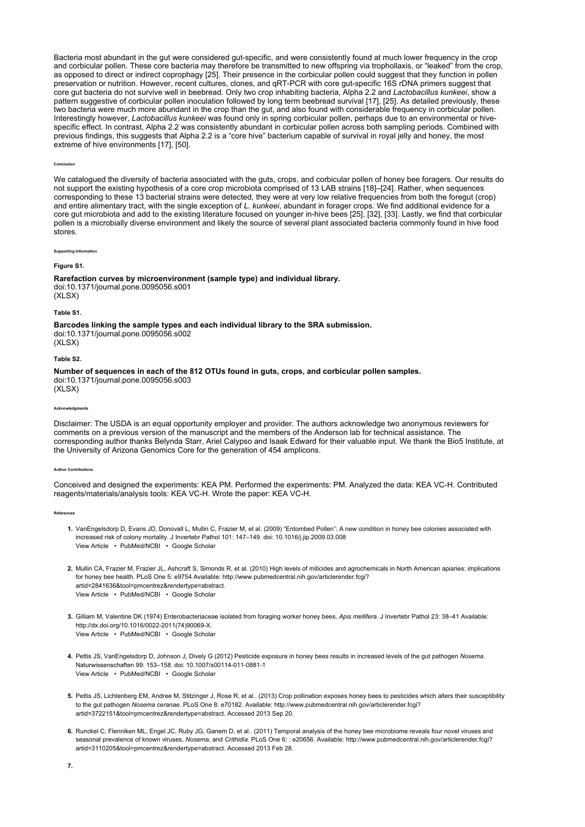Bacteria most abundant in the gut were considered gut-specific, and were consistently found at much lower frequency in the crop and corbicular pollen. These core bacteria may therefore be transmitted to new offspring via trophollaxis, or "leaked" from the crop, as opposed to direct or indirect coprophagy [25]. Their presence in the corbicular pollen could suggest that they function in pollen preservation or nutrition. However, recent cultures, clones, and qRT-PCR with core gut-specific 16S rDNA primers suggest that core gut bacteria do not survive well in beebread. Only two crop inhabiting bacteria, Alpha 2.2 and Lactobacillus kunkeei, show a pattern suggestive of corbicular pollen inoculation followed by long term beebread survival [17], [25]. As detailed previously, these two bacteria were much more abundant in the crop than the gut, and also found with considerable frequency in corbicular pollen. Interestingly however, Lactobacillus kunkeei was found only in spring corbicular pollen, perhaps due to an environmental or hivespecific effect. In contrast, Alpha 2.2 was consistently abundant in corbicular pollen across both sampling periods. Combined with previous findings, this suggests that Alpha 2.2 is a "core hive" bacterium capable of survival in royal jelly and honey, the most extreme of hive environments [17], [50].

#### Conclusion

We catalogued the diversity of bacteria associated with the guts, crops, and corbicular pollen of honey bee foragers. Our results do not support the existing hypothesis of a core crop microbiota comprised of 13 LAB strains [18]–[24]. Rather, when sequences corresponding to these 13 bacterial strains were detected, they were at very low relative frequencies from both the foregut (crop) and entire alimentary tract, with the single exception of L. kunkeei, abundant in forager crops. We find additional evidence for a core gut microbiota and add to the existing literature focused on younger in-hive bees [25], [32], [33]. Lastly, we find that corbicular pollen is a microbially diverse environment and likely the source of several plant associated bacteria commonly found in hive food stores.

Supporting Inform

### Figure S1.

Rarefaction curves by microenvironment (sample type) and individual library. doi:10.1371/journal.pone.0095056.s001  $(X|SX)$ 

#### Table S1.

Barcodes linking the sample types and each individual library to the SRA submission. doi:10.1371/journal.pone.0095056.s002 (XLSX)

### Table S2.

Number of sequences in each of the 812 OTUs found in guts, crops, and corbicular pollen samples. doi:10.1371/journal.pone.0095056.s003 (XLSX)

#### Acknowledgments

Disclaimer: The USDA is an equal opportunity employer and provider. The authors acknowledge two anonymous reviewers for comments on a previous version of the manuscript and the members of the Anderson lab for technical assistance. The corresponding author thanks Belynda Starr, Ariel Calypso and Isaak Edward for their valuable input. We thank the Bio5 Institute, at the University of Arizona Genomics Core for the generation of 454 amplicons.

#### **Author Contribution**

Conceived and designed the experiments: KEA PM. Performed the experiments: PM. Analyzed the data: KEA VC-H. Contributed reagents/materials/analysis tools: KEA VC-H. Wrote the paper: KEA VC-H.

#### References

- 1. VanEngelsdorp D, Evans JD, Donovall L, Mullin C, Frazier M, et al. (2009) "Entombed Pollen": A new condition in honey bee colonies associated with View Article • PubMed/NCBI • Google Scholar increased risk of colony mortality. J Invertebr Pathol 101: 147–149. doi: 10.1016/j.jip.2009.03.008
- 2. Mullin CA, Frazier M, Frazier JL, Ashcraft S, Simonds R, et al. (2010) High levels of miticides and agrochemicals in North American apiaries: implications View Article • PubMed/NCBI • Google Scholar for honey bee health. PLoS One 5: e9754 Available: http://www.pubmedcentral.nih.gov/articlerender.fcgi? artid=2841636&tool=pmcentrez&rendertype=abstract.
- 3. Gilliam M, Valentine DK (1974) Enterobacteriaceae isolated from foraging worker honey bees, Apis mellifera. J Invertebr Pathol 23: 38–41 Available: View Article • PubMed/NCBI • Google Scholar http://dx.doi.org/10.1016/0022-2011(74)90069-X.
- 4. Pettis JS, VanEngelsdorp D, Johnson J, Dively G (2012) Pesticide exposure in honey bees results in increased levels of the gut pathogen Nosema. View Article • PubMed/NCBI • Google Scholar Naturwissenschaften 99: 153–158. doi: 10.1007/s00114-011-0881-1
- 5. Pettis JS, Lichtenberg EM, Andree M, Stitzinger J, Rose R, et al.. (2013) Crop pollination exposes honey bees to pesticides which alters their susceptibility to the gut pathogen Nosema ceranae. PLoS One 8: e70182. Available: http://www.pubmedcentral.nih.gov/articlerender.fcgi? artid=3722151&tool=pmcentrez&rendertype=abstract. Accessed 2013 Sep 20.
- 6. Runckel C, Flenniken ML, Engel JC, Ruby JG, Ganem D, et al.. (2011) Temporal analysis of the honey bee microbiome reveals four novel viruses and seasonal prevalence of known viruses, Nosema, and Crithidia, PLoS One 6: : e20656. Available: http://www.pubmedcentral.nih.gov/articlerender.fcgi? artid=3110205&tool=pmcentrez&rendertype=abstract. Accessed 2013 Feb 28.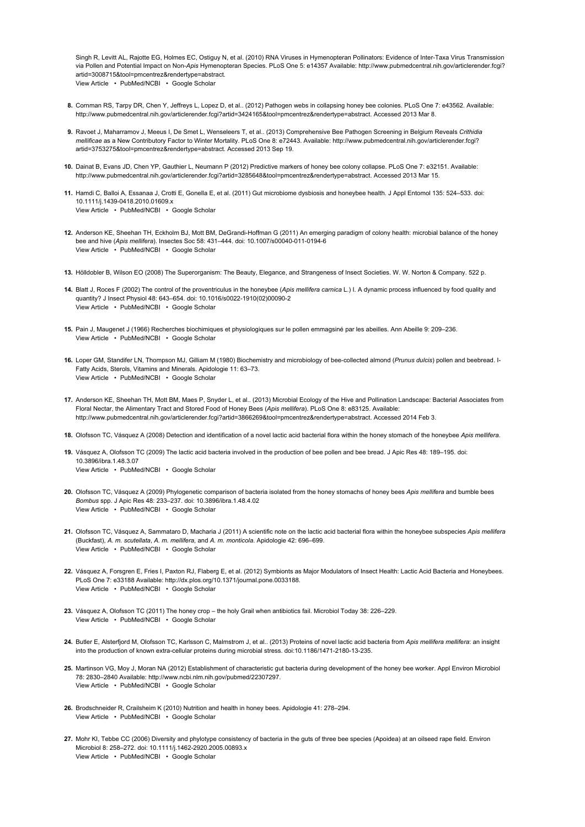View Article • PubMed/NCBI • Google Scholar Singh R, Levitt AL, Rajotte EG, Holmes EC, Ostiguy N, et al. (2010) RNA Viruses in Hymenopteran Pollinators: Evidence of Inter-Taxa Virus Transmission via Pollen and Potential Impact on Non-Apis Hymenopteran Species. PLoS One 5: e14357 Available: http://www.pubmedcentral.nih.gov/articlerender.fcgi? artid=3008715&tool=pmcentrez&rendertype=abstract.

- 8. Cornman RS, Tarpy DR, Chen Y, Jeffreys L, Lopez D, et al.. (2012) Pathogen webs in collapsing honey bee colonies. PLoS One 7: e43562. Available: http://www.pubmedcentral.nih.gov/articlerender.fcgi?artid=3424165&tool=pmcentrez&rendertype=abstract. Accessed 2013 Mar 8.
- **9.** Ravoet J, Maharramov J, Meeus I, De Smet L, Wenseleers T, et al.. (2013) Comprehensive Bee Pathogen Screening in Belgium Reveals *Crithidia* mellificae as a New Contributory Factor to Winter Mortality. PLoS One 8: e72443. Available: http://www.pubmedcentral.nih.gov/articlerender.fcgi? artid=3753275&tool=pmcentrez&rendertype=abstract. Accessed 2013 Sep 19.
- 10. Dainat B, Evans JD, Chen YP, Gauthier L, Neumann P (2012) Predictive markers of honey bee colony collapse. PLoS One 7: e32151. Available: http://www.pubmedcentral.nih.gov/articlerender.fcgi?artid=3285648&tool=pmcentrez&rendertype=abstract. Accessed 2013 Mar 15.
- 11. Hamdi C, Balloi A, Essanaa J, Crotti E, Gonella E, et al. (2011) Gut microbiome dysbiosis and honeybee health. J Appl Entomol 135: 524–533. doi: View Article • PubMed/NCBI • Google Scholar 10.1111/j.1439-0418.2010.01609.x
- 12. Anderson KE, Sheehan TH, Eckholm BJ, Mott BM, DeGrandi-Hoffman G (2011) An emerging paradigm of colony health: microbial balance of the honey View Article • PubMed/NCBI • Google Scholar bee and hive (Apis mellifera). Insectes Soc 58: 431–444. doi: 10.1007/s00040-011-0194-6
- 13. Hölldobler B, Wilson EO (2008) The Superorganism: The Beauty, Elegance, and Strangeness of Insect Societies. W. W. Norton & Company. 522 p.
- **14.** Blatt J, Roces F (2002) The control of the proventriculus in the honeybee (Apis mellifera carnica L.) I. A dynamic process influenced by food quality and View Article • PubMed/NCBI • Google Scholar quantity? J Insect Physiol 48: 643–654. doi: 10.1016/s0022-1910(02)00090-2
- 15. Pain J, Maugenet J (1966) Recherches biochimiques et physiologiques sur le pollen emmagsiné par les abeilles. Ann Abeille 9: 209–236. View Article • PubMed/NCBI • Google Scholar
- **16.** Loper GM, Standifer LN, Thompson MJ, Gilliam M (1980) Biochemistry and microbiology of bee-collected almond (*Prunus dulcis*) pollen and beebread. I-View Article • PubMed/NCBI • Google Scholar Fatty Acids, Sterols, Vitamins and Minerals. Apidologie 11: 63–73.
- 17. Anderson KE, Sheehan TH, Mott BM, Maes P, Snyder L, et al.. (2013) Microbial Ecology of the Hive and Pollination Landscape: Bacterial Associates from Floral Nectar, the Alimentary Tract and Stored Food of Honey Bees (Apis mellifera). PLoS One 8: e83125. Available: http://www.pubmedcentral.nih.gov/articlerender.fcgi?artid=3866269&tool=pmcentrez&rendertype=abstract. Accessed 2014 Feb 3.
- **18.** Olofsson TC, Vásquez A (2008) Detection and identification of a novel lactic acid bacterial flora within the honey stomach of the honeybee *Apis mellifera.*
- 19. Vásquez A, Olofsson TC (2009) The lactic acid bacteria involved in the production of bee pollen and bee bread. J Apic Res 48: 189–195. doi: View Article • PubMed/NCBI • Google Scholar 10.3896/ibra.1.48.3.07
- 20. Olofsson TC, Vásquez A (2009) Phylogenetic comparison of bacteria isolated from the honey stomachs of honey bees Apis mellifera and bumble bees View Article • PubMed/NCBI • Google Scholar Bombus spp. J Apic Res 48: 233–237. doi: 10.3896/ibra.1.48.4.02
- 21. Olofsson TC, Vásquez A, Sammataro D, Macharia J (2011) A scientific note on the lactic acid bacterial flora within the honeybee subspecies Apis mellifera View Article • PubMed/NCBI • Google Scholar (Buckfast), A. m. scutellata, A. m. mellifera, and A. m. monticola. Apidologie 42: 696–699.
- 22. Vásquez A, Forsgren E, Fries I, Paxton RJ, Flaberg E, et al. (2012) Symbionts as Major Modulators of Insect Health: Lactic Acid Bacteria and Honeybees. View Article • PubMed/NCBI • Google Scholar PLoS One 7: e33188 Available: http://dx.plos.org/10.1371/journal.pone.0033188.
- 23. Vásquez A, Olofsson TC (2011) The honey crop the holy Grail when antibiotics fail. Microbiol Today 38: 226–229. View Article • PubMed/NCBI • Google Scholar
- 24. Butler E, Alsterfjord M, Olofsson TC, Karlsson C, Malmstrom J, et al.. (2013) Proteins of novel lactic acid bacteria from *Apis mellifera mellifera*: an insight into the production of known extra-cellular proteins during microbial stress. doi:10.1186/1471-2180-13-235.
- 25. Martinson VG, Moy J, Moran NA (2012) Establishment of characteristic gut bacteria during development of the honey bee worker. Appl Environ Microbiol View Article • PubMed/NCBI • Google Scholar 78: 2830–2840 Available: http://www.ncbi.nlm.nih.gov/pubmed/22307297.
- 26. Brodschneider R, Crailsheim K (2010) Nutrition and health in honey bees. Apidologie 41: 278–294. View Article • PubMed/NCBI • Google Scholar
- 27. Mohr KI, Tebbe CC (2006) Diversity and phylotype consistency of bacteria in the guts of three bee species (Apoidea) at an oilseed rape field. Environ View Article • PubMed/NCBI • Google Scholar Microbiol 8: 258–272. doi: 10.1111/j.1462-2920.2005.00893.x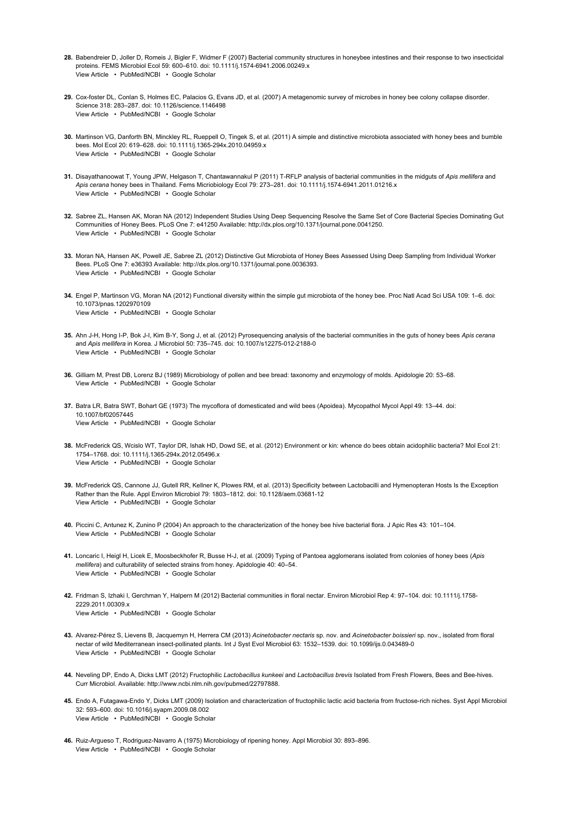- 28. Babendreier D, Joller D, Romeis J, Bigler F, Widmer F (2007) Bacterial community structures in honeybee intestines and their response to two insecticidal View Article • PubMed/NCBI • Google Scholar proteins. FEMS Microbiol Ecol 59: 600–610. doi: 10.1111/j.1574-6941.2006.00249.x
- 29. Cox-foster DL, Conlan S, Holmes EC, Palacios G, Evans JD, et al. (2007) A metagenomic survey of microbes in honey bee colony collapse disorder. View Article • PubMed/NCBI • Google Scholar Science 318: 283–287. doi: 10.1126/science.1146498
- 30. Martinson VG, Danforth BN, Minckley RL, Rueppell O, Tingek S, et al. (2011) A simple and distinctive microbiota associated with honey bees and bumble View Article • PubMed/NCBI • Google Scholar bees. Mol Ecol 20: 619–628. doi: 10.1111/j.1365-294x.2010.04959.x
- **31.** Disayathanoowat T, Young JPW, Helgason T, Chantawannakul P (2011) T-RFLP analysis of bacterial communities in the midguts of *Apis mellifera* and View Article • PubMed/NCBI • Google Scholar Apis cerana honey bees in Thailand. Fems Micriobiology Ecol 79: 273–281. doi: 10.1111/j.1574-6941.2011.01216.x
- 32. Sabree ZL, Hansen AK, Moran NA (2012) Independent Studies Using Deep Sequencing Resolve the Same Set of Core Bacterial Species Dominating Gut View Article • PubMed/NCBI • Google Scholar Communities of Honey Bees. PLoS One 7: e41250 Available: http://dx.plos.org/10.1371/journal.pone.0041250.
- 33. Moran NA, Hansen AK, Powell JE, Sabree ZL (2012) Distinctive Gut Microbiota of Honey Bees Assessed Using Deep Sampling from Individual Worker View Article • PubMed/NCBI • Google Scholar Bees. PLoS One 7: e36393 Available: http://dx.plos.org/10.1371/journal.pone.0036393.
- 34. Engel P, Martinson VG, Moran NA (2012) Functional diversity within the simple gut microbiota of the honey bee. Proc Natl Acad Sci USA 109: 1–6. doi: View Article • PubMed/NCBI • Google Scholar 10.1073/pnas.1202970109
- 35. Ahn J-H, Hong I-P, Bok J-I, Kim B-Y, Song J, et al. (2012) Pyrosequencing analysis of the bacterial communities in the guts of honey bees Apis cerana View Article • PubMed/NCBI • Google Scholar and Apis mellifera in Korea. J Microbiol 50: 735–745. doi: 10.1007/s12275-012-2188-0
- 36. Gilliam M, Prest DB, Lorenz BJ (1989) Microbiology of pollen and bee bread: taxonomy and enzymology of molds. Apidologie 20: 53–68. View Article • PubMed/NCBI • Google Scholar
- 37. Batra LR, Batra SWT, Bohart GE (1973) The mycoflora of domesticated and wild bees (Apoidea). Mycopathol Mycol Appl 49: 13–44. doi: View Article • PubMed/NCBI • Google Scholar 10.1007/bf02057445
- 38. McFrederick QS, Wcislo WT, Taylor DR, Ishak HD, Dowd SE, et al. (2012) Environment or kin: whence do bees obtain acidophilic bacteria? Mol Ecol 21: View Article • PubMed/NCBI • Google Scholar 1754–1768. doi: 10.1111/j.1365-294x.2012.05496.x
- 39. McFrederick QS, Cannone JJ, Gutell RR, Kellner K, Plowes RM, et al. (2013) Specificity between Lactobacilli and Hymenopteran Hosts Is the Exception View Article • PubMed/NCBI • Google Scholar Rather than the Rule. Appl Environ Microbiol 79: 1803–1812. doi: 10.1128/aem.03681-12
- 40. Piccini C, Antunez K, Zunino P (2004) An approach to the characterization of the honey bee hive bacterial flora. J Apic Res 43: 101–104. View Article • PubMed/NCBI • Google Scholar
- 41. Loncaric I, Heigl H, Licek E, Moosbeckhofer R, Busse H-J, et al. (2009) Typing of Pantoea agglomerans isolated from colonies of honey bees (Apis View Article • PubMed/NCBI • Google Scholar mellifera) and culturability of selected strains from honey. Apidologie 40: 40–54.
- 42. Fridman S, Izhaki I, Gerchman Y, Halpern M (2012) Bacterial communities in floral nectar. Environ Microbiol Rep 4: 97–104. doi: 10.1111/j.1758- View Article • PubMed/NCBI • Google Scholar 2229.2011.00309.x
- 43. Alvarez-Pérez S, Lievens B, Jacquemyn H, Herrera CM (2013) Acinetobacter nectaris sp. nov. and Acinetobacter boissieri sp. nov., isolated from floral View Article • PubMed/NCBI • Google Scholar nectar of wild Mediterranean insect-pollinated plants. Int J Syst Evol Microbiol 63: 1532–1539. doi: 10.1099/ijs.0.043489-0
- 44. Neveling DP, Endo A, Dicks LMT (2012) Fructophilic Lactobacillus kunkeei and Lactobacillus brevis Isolated from Fresh Flowers, Bees and Bee-hives. Curr Microbiol. Available: http://www.ncbi.nlm.nih.gov/pubmed/22797888.
- 45. Endo A, Futagawa-Endo Y, Dicks LMT (2009) Isolation and characterization of fructophilic lactic acid bacteria from fructose-rich niches. Syst Appl Microbiol View Article • PubMed/NCBI • Google Scholar 32: 593–600. doi: 10.1016/j.syapm.2009.08.002
- 46. Ruiz-Argueso T, Rodriguez-Navarro A (1975) Microbiology of ripening honey. Appl Microbiol 30: 893–896. View Article • PubMed/NCBI • Google Scholar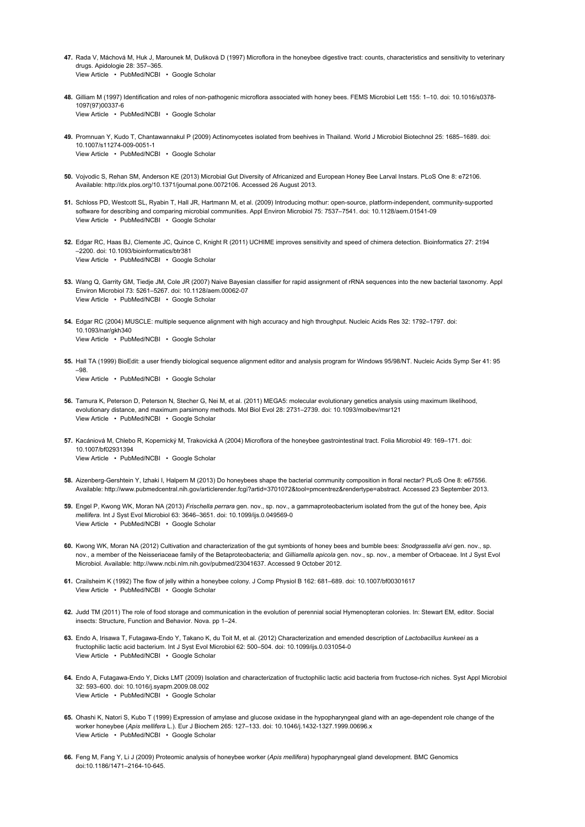- **47.** Rada V, Máchová M, Huk J, Marounek M, Dušková D (1997) Microflora in the honeybee digestive tract: counts, characteristics and sensitivity to veterinary View Article • PubMed/NCBI • Google Scholar drugs. Apidologie 28: 357–365.
- 48. Gilliam M (1997) Identification and roles of non-pathogenic microflora associated with honey bees. FEMS Microbiol Lett 155: 1–10. doi: 10.1016/s0378- View Article • PubMed/NCBI • Google Scholar 1097(97)00337-6
- 49. Promnuan Y, Kudo T, Chantawannakul P (2009) Actinomycetes isolated from beehives in Thailand. World J Microbiol Biotechnol 25: 1685–1689. doi: View Article • PubMed/NCBI • Google Scholar 10.1007/s11274-009-0051-1
- 50. Vojvodic S, Rehan SM, Anderson KE (2013) Microbial Gut Diversity of Africanized and European Honey Bee Larval Instars. PLoS One 8: e72106. Available: http://dx.plos.org/10.1371/journal.pone.0072106. Accessed 26 August 2013.
- 51. Schloss PD, Westcott SL, Ryabin T, Hall JR, Hartmann M, et al. (2009) Introducing mothur: open-source, platform-independent, community-supported View Article • PubMed/NCBI • Google Scholar software for describing and comparing microbial communities. Appl Environ Microbiol 75: 7537–7541. doi: 10.1128/aem.01541-09
- 52. Edgar RC, Haas BJ, Clemente JC, Quince C, Knight R (2011) UCHIME improves sensitivity and speed of chimera detection. Bioinformatics 27: 2194 View Article • PubMed/NCBI • Google Scholar –2200. doi: 10.1093/bioinformatics/btr381
- 53. Wang Q, Garrity GM, Tiedje JM, Cole JR (2007) Naive Bayesian classifier for rapid assignment of rRNA sequences into the new bacterial taxonomy. Appl View Article • PubMed/NCBI • Google Scholar Environ Microbiol 73: 5261–5267. doi: 10.1128/aem.00062-07
- 54. Edgar RC (2004) MUSCLE: multiple sequence alignment with high accuracy and high throughput. Nucleic Acids Res 32: 1792–1797. doi: View Article • PubMed/NCBI • Google Scholar 10.1093/nar/gkh340
- 55. Hall TA (1999) BioEdit: a user friendly biological sequence alignment editor and analysis program for Windows 95/98/NT. Nucleic Acids Symp Ser 41: 95 –98.

View Article • PubMed/NCBI • Google Scholar

- 56. Tamura K, Peterson D, Peterson N, Stecher G, Nei M, et al. (2011) MEGA5: molecular evolutionary genetics analysis using maximum likelihood, View Article • PubMed/NCBI • Google Scholar evolutionary distance, and maximum parsimony methods. Mol Biol Evol 28: 2731–2739. doi: 10.1093/molbev/msr121
- 57. Kacániová M, Chlebo R, Kopernický M, Trakovická A (2004) Microflora of the honeybee gastrointestinal tract. Folia Microbiol 49: 169–171. doi: View Article • PubMed/NCBI • Google Scholar 10.1007/bf02931394
- 58. Aizenberg-Gershtein Y, Izhaki I, Halpern M (2013) Do honeybees shape the bacterial community composition in floral nectar? PLoS One 8: e67556. Available: http://www.pubmedcentral.nih.gov/articlerender.fcgi?artid=3701072&tool=pmcentrez&rendertype=abstract. Accessed 23 September 2013.
- 59. Engel P, Kwong WK, Moran NA (2013) *Frischella perrara* gen. nov., sp. nov., a gammaproteobacterium isolated from the gut of the honey bee, Apis View Article • PubMed/NCBI • Google Scholar mellifera. Int J Syst Evol Microbiol 63: 3646–3651. doi: 10.1099/ijs.0.049569-0
- **60.** Kwong WK, Moran NA (2012) Cultivation and characterization of the gut symbionts of honey bees and bumble bees: *Snodgrassella alvi* gen. nov., sp. nov., a member of the Neisseriaceae family of the Betaproteobacteria; and Gilliamella apicola gen. nov., sp. nov., a member of Orbaceae. Int J Syst Evol Microbiol. Available: http://www.ncbi.nlm.nih.gov/pubmed/23041637. Accessed 9 October 2012.
- 61. Crailsheim K (1992) The flow of jelly within a honeybee colony. J Comp Physiol B 162: 681–689. doi: 10.1007/bf00301617 View Article • PubMed/NCBI • Google Scholar
- 62. Judd TM (2011) The role of food storage and communication in the evolution of perennial social Hymenopteran colonies. In: Stewart EM, editor. Social insects: Structure, Function and Behavior. Nova. pp 1–24.
- 63. Endo A, Irisawa T, Futagawa-Endo Y, Takano K, du Toit M, et al. (2012) Characterization and emended description of Lactobacillus kunkeei as a View Article • PubMed/NCBI • Google Scholar fructophilic lactic acid bacterium. Int J Syst Evol Microbiol 62: 500–504. doi: 10.1099/ijs.0.031054-0
- 64. Endo A, Futagawa-Endo Y, Dicks LMT (2009) Isolation and characterization of fructophilic lactic acid bacteria from fructose-rich niches. Syst Appl Microbiol View Article • PubMed/NCBI • Google Scholar 32: 593–600. doi: 10.1016/j.syapm.2009.08.002
- 65. Ohashi K, Natori S, Kubo T (1999) Expression of amylase and glucose oxidase in the hypopharyngeal gland with an age-dependent role change of the View Article • PubMed/NCBI • Google Scholar worker honeybee (Apis mellifera L.). Eur J Biochem 265: 127–133. doi: 10.1046/j.1432-1327.1999.00696.x
- 66. Feng M, Fang Y, Li J (2009) Proteomic analysis of honeybee worker (Apis mellifera) hypopharyngeal gland development. BMC Genomics doi:10.1186/1471–2164-10-645.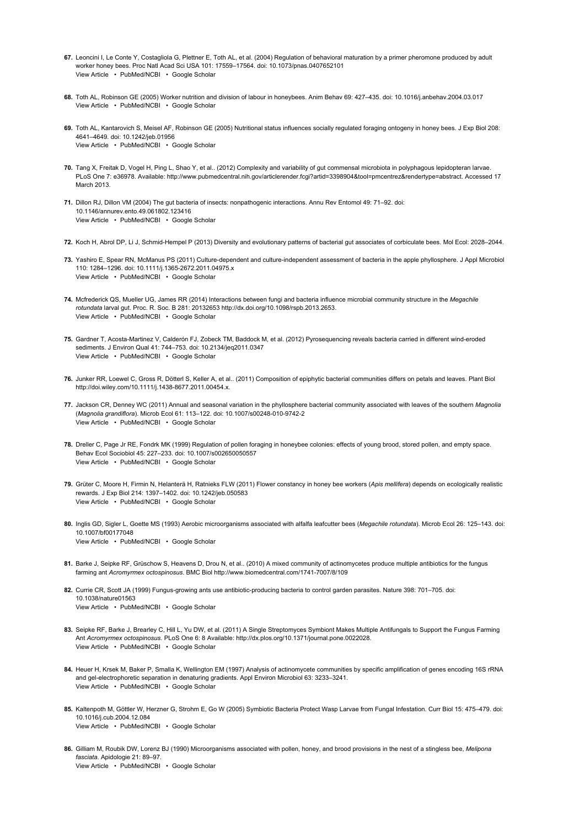- 67. Leoncini I, Le Conte Y, Costagliola G, Plettner E, Toth AL, et al. (2004) Regulation of behavioral maturation by a primer pheromone produced by adult View Article • PubMed/NCBI • Google Scholar worker honey bees. Proc Natl Acad Sci USA 101: 17559–17564. doi: 10.1073/pnas.0407652101
- 68. Toth AL, Robinson GE (2005) Worker nutrition and division of labour in honeybees. Anim Behav 69: 427–435. doi: 10.1016/j.anbehav.2004.03.017 View Article • PubMed/NCBI • Google Scholar
- 69. Toth AL, Kantarovich S, Meisel AF, Robinson GE (2005) Nutritional status influences socially regulated foraging ontogeny in honey bees. J Exp Biol 208: View Article • PubMed/NCBI • Google Scholar 4641–4649. doi: 10.1242/jeb.01956
- 70. Tang X, Freitak D, Vogel H, Ping L, Shao Y, et al.. (2012) Complexity and variability of gut commensal microbiota in polyphagous lepidopteran larvae. PLoS One 7: e36978. Available: http://www.pubmedcentral.nih.gov/articlerender.fcgi?artid=3398904&tool=pmcentrez&rendertype=abstract. Accessed 17 March 2013.
- 71. Dillon RJ, Dillon VM (2004) The gut bacteria of insects: nonpathogenic interactions. Annu Rev Entomol 49: 71–92. doi: View Article • PubMed/NCBI • Google Scholar 10.1146/annurev.ento.49.061802.123416
- 72. Koch H, Abrol DP, Li J, Schmid-Hempel P (2013) Diversity and evolutionary patterns of bacterial gut associates of corbiculate bees. Mol Ecol: 2028–2044.
- 73. Yashiro E, Spear RN, McManus PS (2011) Culture-dependent and culture-independent assessment of bacteria in the apple phyllosphere. J Appl Microbiol View Article • PubMed/NCBI • Google Scholar 110: 1284–1296. doi: 10.1111/j.1365-2672.2011.04975.x
- 74. Mcfrederick QS, Mueller UG, James RR (2014) Interactions between fungi and bacteria influence microbial community structure in the Megachile View Article • PubMed/NCBI • Google Scholar rotundata larval gut. Proc. R. Soc. B 281: 20132653 http://dx.doi.org/10.1098/rspb.2013.2653.
- 75. Gardner T, Acosta-Martinez V, Calderón FJ, Zobeck TM, Baddock M, et al. (2012) Pyrosequencing reveals bacteria carried in different wind-eroded View Article • PubMed/NCBI • Google Scholar sediments. J Environ Qual 41: 744–753. doi: 10.2134/jeq2011.0347
- 76. Junker RR, Loewel C, Gross R, Dötterl S, Keller A, et al.. (2011) Composition of epiphytic bacterial communities differs on petals and leaves. Plant Biol http://doi.wiley.com/10.1111/j.1438-8677.2011.00454.x.
- 77. Jackson CR, Denney WC (2011) Annual and seasonal variation in the phyllosphere bacterial community associated with leaves of the southern Magnolia View Article • PubMed/NCBI • Google Scholar (Magnolia grandiflora). Microb Ecol 61: 113–122. doi: 10.1007/s00248-010-9742-2
- 78. Dreller C, Page Jr RE, Fondrk MK (1999) Regulation of pollen foraging in honeybee colonies: effects of young brood, stored pollen, and empty space. View Article • PubMed/NCBI • Google Scholar Behav Ecol Sociobiol 45: 227–233. doi: 10.1007/s002650050557
- **79.** Grüter C, Moore H, Firmin N, Helanterä H, Ratnieks FLW (2011) Flower constancy in honey bee workers (*Apis mellifera*) depends on ecologically realistic View Article • PubMed/NCBI • Google Scholar rewards. J Exp Biol 214: 1397–1402. doi: 10.1242/jeb.050583
- 80. Inglis GD, Sigler L, Goette MS (1993) Aerobic microorganisms associated with alfalfa leafcutter bees (*Megachile rotundata*). Microb Ecol 26: 125–143. doi: View Article • PubMed/NCBI • Google Scholar 10.1007/bf00177048
- 81. Barke J, Seipke RF, Grüschow S, Heavens D, Drou N, et al.. (2010) A mixed community of actinomycetes produce multiple antibiotics for the fungus farming ant Acromyrmex octospinosus. BMC Biol http://www.biomedcentral.com/1741-7007/8/109
- 82. Currie CR, Scott JA (1999) Fungus-growing ants use antibiotic-producing bacteria to control garden parasites. Nature 398: 701–705. doi: View Article • PubMed/NCBI • Google Scholar 10.1038/nature01563
- 83. Seipke RF, Barke J, Brearley C, Hill L, Yu DW, et al. (2011) A Single Streptomyces Symbiont Makes Multiple Antifungals to Support the Fungus Farming View Article • PubMed/NCBI • Google Scholar Ant Acromyrmex octospinosus. PLoS One 6: 8 Available: http://dx.plos.org/10.1371/journal.pone.0022028.
- 84. Heuer H, Krsek M, Baker P, Smalla K, Wellington EM (1997) Analysis of actinomycete communities by specific amplification of genes encoding 16S rRNA View Article • PubMed/NCBI • Google Scholar and gel-electrophoretic separation in denaturing gradients. Appl Environ Microbiol 63: 3233–3241.
- 85. Kaltenpoth M, Göttler W, Herzner G, Strohm E, Go W (2005) Symbiotic Bacteria Protect Wasp Larvae from Fungal Infestation. Curr Biol 15: 475–479. doi: View Article • PubMed/NCBI • Google Scholar 10.1016/j.cub.2004.12.084
- 86. Gilliam M, Roubik DW, Lorenz BJ (1990) Microorganisms associated with pollen, honey, and brood provisions in the nest of a stingless bee, Melipona View Article • PubMed/NCBI • Google Scholar fasciata. Apidologie 21: 89–97.